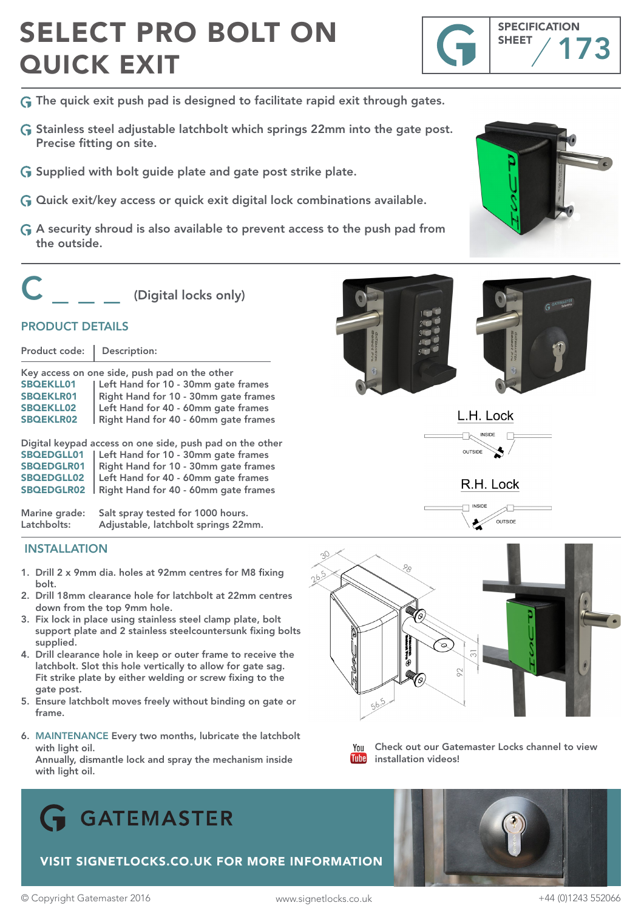## SELECT PRO BOLT ON QUICK EXIT



- G The quick exit push pad is designed to facilitate rapid exit through gates.
- G Stainless steel adjustable latchbolt which springs 22mm into the gate post. Precise fitting on site.
- Supplied with bolt guide plate and gate post strike plate.
- $G$  Quick exit/key access or quick exit digital lock combinations available.
- A security shroud is also available to prevent access to the push pad from the outside.



(Digital locks only)

### PRODUCT DETAILS

| Product code:    | Description:                                  |
|------------------|-----------------------------------------------|
|                  | Key access on one side, push pad on the other |
| <b>SBQEKLL01</b> | Left Hand for 10 - 30mm gate frames           |
| <b>SBOEKLR01</b> | Right Hand for 10 - 30mm gate frames          |
| <b>SBOEKLL02</b> | Left Hand for 40 - 60mm gate frames           |
| <b>SBOEKLR02</b> | Right Hand for 40 - 60mm gate frames          |
|                  |                                               |

| Digital keypad access on one side, push pad on the other |                                                   |
|----------------------------------------------------------|---------------------------------------------------|
|                                                          | SBQEDGLL01   Left Hand for 10 - 30mm gate frames  |
| SBOEDGLR01                                               | Right Hand for 10 - 30mm gate frames              |
| SBQEDGLL02                                               | Left Hand for 40 - 60mm gate frames               |
|                                                          | SBQEDGLR02   Right Hand for 40 - 60mm gate frames |

Marine grade: Salt spray tested for 1000 hours. Latchbolts: Adjustable, latchbolt springs 22mm.

### INSTALLATION

- 1. Drill 2 x 9mm dia. holes at 92mm centres for M8 fixing bolt.
- 2. Drill 18mm clearance hole for latchbolt at 22mm centres down from the top 9mm hole.
- 3. Fix lock in place using stainless steel clamp plate, bolt support plate and 2 stainless steelcountersunk fixing bolts supplied.
- 4. Drill clearance hole in keep or outer frame to receive the latchbolt. Slot this hole vertically to allow for gate sag. Fit strike plate by either welding or screw fixing to the gate post.
- 5. Ensure latchbolt moves freely without binding on gate or frame.
- 6. MAINTENANCE Every two months, lubricate the latchbolt with light oil.

 Annually, dismantle lock and spray the mechanism inside with light oil.













You Check out our Gatemaster Locks channel to view **Tube** installation videos!



VISIT SIGNETLOCKS.CO.UK FOR MORE INFORMATION